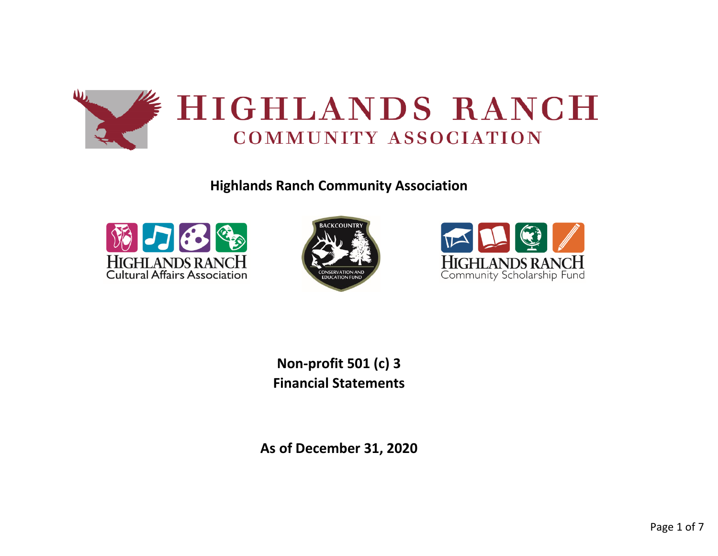

**Highlands Ranch Community Association**







**Non-profit 501 (c) 3 Financial Statements**

**As of December 31, 2020**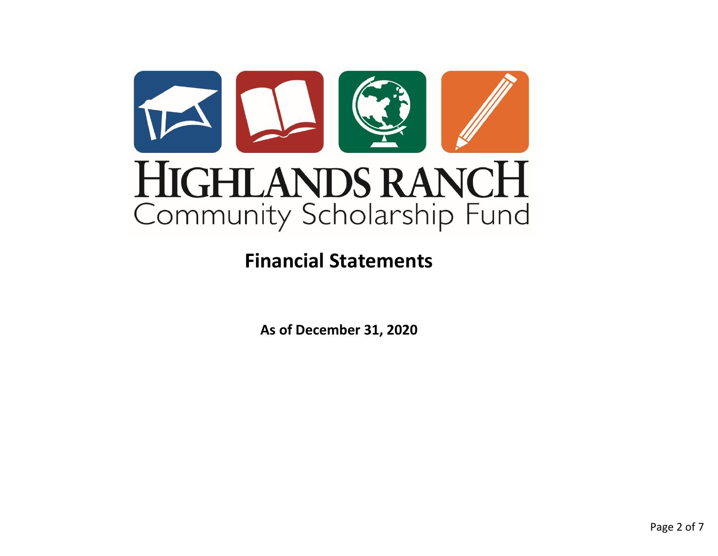

# **Financial Statements**

**As of December 31, 2020**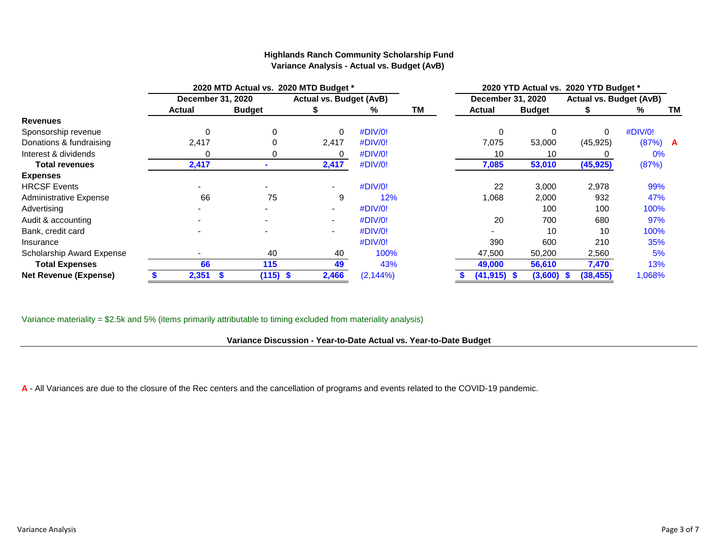|                              |                   |        | 2020 MTD Actual vs. 2020 MTD Budget * |                |                                |                   |  | 2020 YTD Actual vs. 2020 YTD Budget * |              |                                |           |      |  |  |  |
|------------------------------|-------------------|--------|---------------------------------------|----------------|--------------------------------|-------------------|--|---------------------------------------|--------------|--------------------------------|-----------|------|--|--|--|
|                              | December 31, 2020 |        |                                       |                | <b>Actual vs. Budget (AvB)</b> | December 31, 2020 |  |                                       |              | <b>Actual vs. Budget (AvB)</b> |           |      |  |  |  |
|                              |                   | Actual |                                       |                | ℅                              | ΤM                |  | Actual<br><b>Budget</b>               |              |                                | ℅         | TM . |  |  |  |
| <b>Revenues</b>              |                   |        |                                       |                |                                |                   |  |                                       |              |                                |           |      |  |  |  |
| Sponsorship revenue          |                   | 0      |                                       | 0              | #DIV/0!                        |                   |  | 0                                     | $\Omega$     | 0                              | #DIV/0!   |      |  |  |  |
| Donations & fundraising      |                   | 2,417  |                                       | 2,417          | #DIV/0!                        |                   |  | 7,075                                 | 53,000       | (45, 925)                      | $(87%)$ A |      |  |  |  |
| Interest & dividends         |                   |        |                                       | O              | #DIV/0!                        |                   |  | 10                                    | 10           |                                | 0%        |      |  |  |  |
| <b>Total revenues</b>        |                   | 2,417  |                                       | 2,417          | #DIV/0!                        |                   |  | 7,085                                 | 53,010       | (45, 925)                      | (87%)     |      |  |  |  |
| <b>Expenses</b>              |                   |        |                                       |                |                                |                   |  |                                       |              |                                |           |      |  |  |  |
| <b>HRCSF Events</b>          |                   |        |                                       |                | #DIV/0!                        |                   |  | 22                                    | 3,000        | 2,978                          | 99%       |      |  |  |  |
| Administrative Expense       |                   | 66     | 75                                    | 9              | 12%                            |                   |  | 1,068                                 | 2,000        | 932                            | 47%       |      |  |  |  |
| Advertising                  |                   |        |                                       |                | #DIV/0!                        |                   |  |                                       | 100          | 100                            | 100%      |      |  |  |  |
| Audit & accounting           |                   |        |                                       | $\blacksquare$ | #DIV/0!                        |                   |  | 20                                    | 700          | 680                            | 97%       |      |  |  |  |
| Bank, credit card            |                   |        |                                       |                | #DIV/0!                        |                   |  |                                       | 10           | 10                             | 100%      |      |  |  |  |
| Insurance                    |                   |        |                                       |                | #DIV/0!                        |                   |  | 390                                   | 600          | 210                            | 35%       |      |  |  |  |
| Scholarship Award Expense    |                   |        | 40                                    | 40             | 100%                           |                   |  | 47,500                                | 50,200       | 2,560                          | 5%        |      |  |  |  |
| <b>Total Expenses</b>        |                   | 66     | 115                                   | 49             | 43%                            |                   |  | 49,000                                | 56,610       | 7,470                          | 13%       |      |  |  |  |
| <b>Net Revenue (Expense)</b> |                   | 2,351  | $(115)$ \$                            | 2,466          | $(2, 144\%)$                   |                   |  | $(41, 915)$ \$                        | $(3,600)$ \$ | (38, 455)                      | 1,068%    |      |  |  |  |

## **Highlands Ranch Community Scholarship Fund Variance Analysis - Actual vs. Budget (AvB)**

Variance materiality = \$2.5k and 5% (items primarily attributable to timing excluded from materiality analysis)

## **Variance Discussion - Year-to-Date Actual vs. Year-to-Date Budget**

**A** - All Variances are due to the closure of the Rec centers and the cancellation of programs and events related to the COVID-19 pandemic.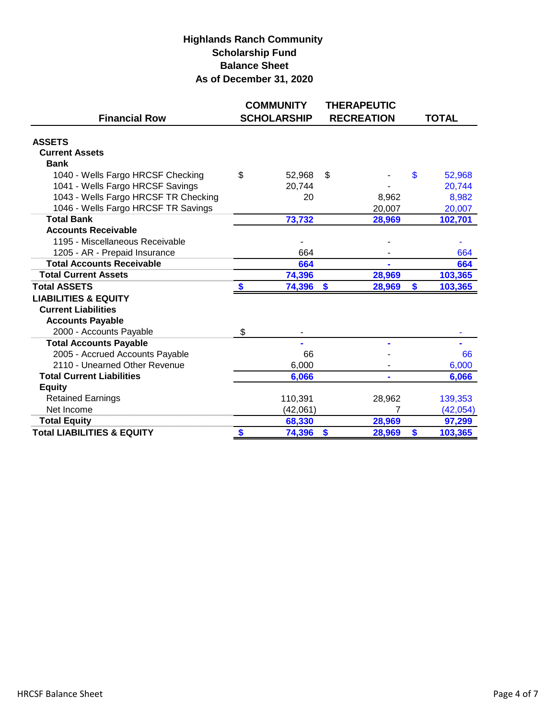## **Highlands Ranch Community Scholarship Fund Balance Sheet As of December 31, 2020**

|                                       | <b>COMMUNITY</b>   | <b>THERAPEUTIC</b> |               |
|---------------------------------------|--------------------|--------------------|---------------|
| <b>Financial Row</b>                  | <b>SCHOLARSHIP</b> | <b>RECREATION</b>  | <b>TOTAL</b>  |
| <b>ASSETS</b>                         |                    |                    |               |
| <b>Current Assets</b>                 |                    |                    |               |
| <b>Bank</b>                           |                    |                    |               |
| 1040 - Wells Fargo HRCSF Checking     | \$<br>52,968       | \$                 | \$<br>52,968  |
| 1041 - Wells Fargo HRCSF Savings      | 20,744             |                    | 20,744        |
| 1043 - Wells Fargo HRCSF TR Checking  | 20                 | 8,962              | 8,982         |
| 1046 - Wells Fargo HRCSF TR Savings   |                    | 20,007             | 20,007        |
| <b>Total Bank</b>                     | 73,732             | 28,969             | 102,701       |
| <b>Accounts Receivable</b>            |                    |                    |               |
| 1195 - Miscellaneous Receivable       |                    |                    |               |
| 1205 - AR - Prepaid Insurance         | 664                |                    | 664           |
| <b>Total Accounts Receivable</b>      | 664                |                    | 664           |
| <b>Total Current Assets</b>           | 74,396             | 28,969             | 103,365       |
| <b>Total ASSETS</b>                   | 74,396             | \$<br>28,969       | \$<br>103,365 |
| <b>LIABILITIES &amp; EQUITY</b>       |                    |                    |               |
| <b>Current Liabilities</b>            |                    |                    |               |
| <b>Accounts Payable</b>               |                    |                    |               |
| 2000 - Accounts Payable               | \$                 |                    |               |
| <b>Total Accounts Payable</b>         |                    |                    |               |
| 2005 - Accrued Accounts Payable       | 66                 |                    | 66            |
| 2110 - Unearned Other Revenue         | 6,000              |                    | 6,000         |
| <b>Total Current Liabilities</b>      | 6,066              |                    | 6,066         |
| <b>Equity</b>                         |                    |                    |               |
| <b>Retained Earnings</b>              | 110,391            | 28,962             | 139,353       |
| Net Income                            | (42,061)           | 7                  | (42, 054)     |
| <b>Total Equity</b>                   | 68,330             | 28,969             | 97,299        |
| <b>Total LIABILITIES &amp; EQUITY</b> | 74,396             | \$<br>28,969       | \$<br>103,365 |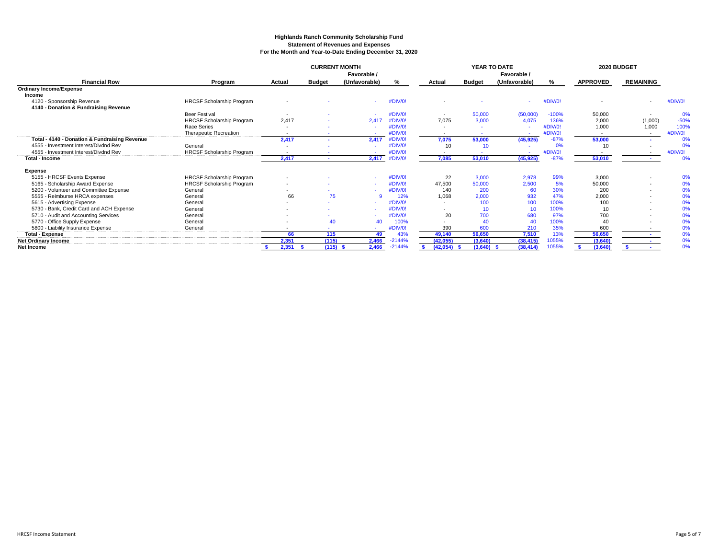### **Highlands Ranch Community Scholarship Fund Statement of Revenues and Expenses For the Month and Year-to-Date Ending December 31, 2020**

|                                                          |                                  |                          | <b>CURRENT MONTH</b> | Favorable /   |          |                          | YEAR TO DATE  | Favorable /   | 2020 BUDGET |                 |                          |         |
|----------------------------------------------------------|----------------------------------|--------------------------|----------------------|---------------|----------|--------------------------|---------------|---------------|-------------|-----------------|--------------------------|---------|
| <b>Financial Row</b>                                     | Program                          | Actual                   | <b>Budget</b>        | (Unfavorable) | %        | Actual                   | <b>Budget</b> | (Unfavorable) | %           | <b>APPROVED</b> | <b>REMAINING</b>         |         |
| <b>Ordinary Income/Expense</b>                           |                                  |                          |                      |               |          |                          |               |               |             |                 |                          |         |
| Income                                                   |                                  |                          |                      |               |          |                          |               |               |             |                 |                          |         |
| 4120 - Sponsorship Revenue                               | <b>HRCSF Scholarship Program</b> |                          |                      |               | #DIV/0!  |                          |               |               | #DIV/0!     |                 | $\overline{\phantom{a}}$ | #DIV/0! |
| 4140 - Donation & Fundraising Revenue                    |                                  |                          |                      |               |          |                          |               |               |             |                 |                          |         |
|                                                          | <b>Beer Festival</b>             |                          |                      |               | #DIV/0!  | $\overline{\phantom{a}}$ | 50,000        | (50,000)      | $-100%$     | 50,000          | $\overline{\phantom{a}}$ | 0%      |
|                                                          | <b>HRCSF Scholarship Program</b> | 2.417                    |                      | 2.41          | #DIV/0!  | 7.075                    | 3,000         | 4.075         | 136%        | 2,000           | (1,000)                  | $-50%$  |
|                                                          | Race Series                      |                          |                      |               | #DIV/0!  |                          |               |               | #DIV/0!     | 1,000           | 1,000                    | 100%    |
|                                                          | Therapeutic Recreation           | $\sim$                   |                      |               | #DIV/0!  |                          |               |               | #DIV/0!     |                 | $\sim$                   | #DIV/0! |
| <b>Total - 4140 - Donation &amp; Fundraising Revenue</b> |                                  | 2.417                    | $\sim$               | 2.417         | #DIV/0!  | 7.075                    | 53,000        | (45, 925)     | $-87%$      | 53,000          |                          | 0%      |
| 4555 - Investment Interest/Divdnd Rev                    | General                          |                          |                      |               | #DIV/0!  | 10                       | 10            |               | 0%          | 10              |                          | 0%      |
| 4555 - Investment Interest/Divdnd Rev                    | <b>HRCSF Scholarship Program</b> |                          |                      |               | #DIV/0!  |                          |               |               | #DIV/0!     |                 |                          | #DIV/0! |
| <b>Total - Income</b>                                    |                                  | 2,417                    | $\sim$               | 2,417         | #DIV/0!  | 7,085                    | 53,010        | (45, 925)     | $-87%$      | 53,010          |                          | 0%      |
| Expense                                                  |                                  |                          |                      |               |          |                          |               |               |             |                 |                          |         |
| 5155 - HRCSF Events Expense                              | <b>HRCSF Scholarship Program</b> |                          |                      |               | #DIV/0!  | 22                       | 3,000         | 2,978         | 99%         | 3,000           |                          | 0%      |
| 5165 - Scholarship Award Expense                         | HRCSF Scholarship Program        |                          |                      |               | #DIV/0!  | 47,500                   | 50,000        | 2,500         | 5%          | 50,000          |                          | 0%      |
| 5200 - Volunteer and Committee Expense                   | General                          |                          |                      |               | #DIV/0!  | 140                      | 200           | 60            | 30%         | 200             | $\overline{\phantom{a}}$ | 0%      |
| 5555 - Reimburse HRCA expenses                           | General                          | 66                       | 75                   |               | 12%      | 1,068                    | 2,000         | 932           | 47%         | 2,000           | $\overline{\phantom{a}}$ | 0%      |
| 5615 - Advertising Expense                               | General                          | $\sim$                   |                      |               | #DIV/0!  |                          | 100           | 100           | 100%        | 100             | $\overline{\phantom{a}}$ | 0%      |
| 5730 - Bank, Credit Card and ACH Expense                 | General                          |                          |                      |               | #DIV/0!  |                          | 10            | 10            | 100%        | 10              | $\overline{\phantom{a}}$ | 0%      |
| 5710 - Audit and Accounting Services                     | General                          |                          |                      |               | #DIV/0!  | 20                       | 700           | 680           | 97%         | 700             |                          | 0%      |
| 5770 - Office Supply Expense                             | General                          |                          | 40                   | 40            | 100%     |                          | 40            | 40            | 100%        | 40              |                          | 0%      |
| 5800 - Liability Insurance Expense                       | General                          | $\overline{\phantom{0}}$ |                      |               | #DIV/0!  | 390                      | 600           | 210           | 35%         | 600             |                          | 0%      |
| <b>Total - Expense</b>                                   |                                  | 66                       | 115                  | 49            | 43%      | 49,140                   | 56,650        | 7,510         | 13%         | 56,650          |                          | 0%      |
| <b>Net Ordinary Income</b>                               |                                  | 2,351                    | (115)                | 2,466         | $-2144%$ | (42,055)                 | (3,640)       | (38, 415)     | 1055%       | (3,640)         | $\sim$                   | 0%      |
| <b>Net Income</b>                                        |                                  | 2,351                    | $(115)$ \$           | 2,466         | $-2144%$ | (42,054)                 | $(3,640)$ \$  | (38, 414)     | 1055%       | (3,640)         |                          | 0%      |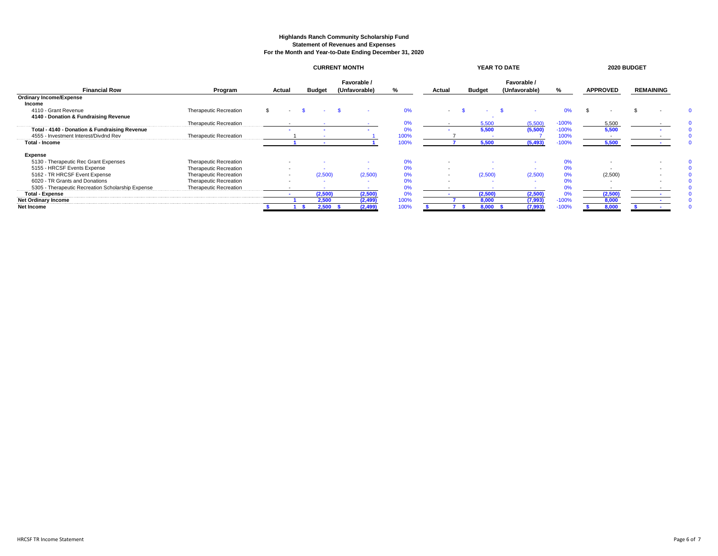#### **Highlands Ranch Community Scholarship Fund Statement of Revenues and Expenses For the Month and Year-to-Date Ending December 31, 2020**

|                                                   |                               | <b>CURRENT MONTH</b> |                          |         |                              |          |      | YEAR TO DATE             |                          |               |                              |          |         | 2020 BUDGET     |                          |  |                  |  |
|---------------------------------------------------|-------------------------------|----------------------|--------------------------|---------|------------------------------|----------|------|--------------------------|--------------------------|---------------|------------------------------|----------|---------|-----------------|--------------------------|--|------------------|--|
| <b>Financial Row</b>                              | Program                       |                      | Actual<br>Budget         |         | Favorable /<br>(Unfavorable) |          | %    | Actual                   |                          | <b>Budget</b> | Favorable /<br>(Unfavorable) |          | ℅       | <b>APPROVED</b> |                          |  | <b>REMAINING</b> |  |
| <b>Ordinary Income/Expense</b>                    |                               |                      |                          |         |                              |          |      |                          |                          |               |                              |          |         |                 |                          |  |                  |  |
| Income                                            |                               |                      |                          |         |                              |          |      |                          |                          |               |                              |          |         |                 |                          |  |                  |  |
| 4110 - Grant Revenue                              | Therapeutic Recreation        |                      |                          |         |                              |          | 0%   |                          |                          |               |                              |          |         |                 |                          |  |                  |  |
| 4140 - Donation & Fundraising Revenue             |                               |                      |                          |         |                              |          |      |                          |                          |               |                              |          |         |                 |                          |  |                  |  |
|                                                   | <b>Therapeutic Recreation</b> |                      |                          |         |                              |          | 0%   |                          |                          | 5,500         |                              | (5,500)  | $-100%$ |                 | 5,500                    |  |                  |  |
| Total - 4140 - Donation & Fundraising Revenue     |                               |                      |                          |         |                              |          | 0%   |                          |                          | 5,500         |                              | (5,500)  | $-100%$ |                 | 5,500                    |  |                  |  |
| 4555 - Investment Interest/Divdnd Rev             | Therapeutic Recreation        |                      |                          |         |                              |          | 100% |                          |                          |               |                              |          | 100%    |                 | $\overline{\phantom{a}}$ |  |                  |  |
| <b>Total - Income</b>                             |                               |                      |                          |         |                              |          | 100% |                          |                          | 5,500         |                              | (5, 493) | $-100%$ |                 | 5,500                    |  |                  |  |
| Expense                                           |                               |                      |                          |         |                              |          |      |                          |                          |               |                              |          |         |                 |                          |  |                  |  |
| 5130 - Therapeutic Rec Grant Expenses             | Therapeutic Recreation        |                      |                          |         |                              |          | 0%   |                          |                          |               |                              |          | 0%      |                 |                          |  |                  |  |
| 5155 - HRCSF Events Expense                       | Therapeutic Recreation        |                      | $\overline{\phantom{a}}$ |         |                              | $\sim$   | 0%   | $\overline{\phantom{a}}$ |                          |               |                              |          | 0%      |                 |                          |  |                  |  |
| 5162 - TR HRCSF Event Expense                     | Therapeutic Recreation        |                      |                          | (2,500) |                              | (2,500)  | 0%   |                          | $\overline{\phantom{a}}$ | (2,500)       |                              | (2,500)  | 0%      |                 | (2,500)                  |  |                  |  |
| 6020 - TR Grants and Donations                    | Therapeutic Recreation        |                      |                          |         |                              |          | 0%   |                          |                          |               |                              | $\sim$   | 0%      |                 |                          |  |                  |  |
| 5305 - Therapeutic Recreation Scholarship Expense | Therapeutic Recreation        |                      |                          |         |                              |          | 0%   |                          |                          |               |                              |          | U%      |                 | $\overline{a}$           |  |                  |  |
| <b>Total - Expense</b>                            |                               |                      |                          | (2,500) |                              | (2,500)  | 0%   |                          |                          | (2,500)       |                              | (2,500)  | 0%      |                 | (2,500)                  |  |                  |  |
| <b>Net Ordinary Income</b>                        |                               |                      |                          | 2,500   |                              | (2, 499) | 100% |                          |                          | 8,000         |                              | (7,993)  | $-100%$ |                 | 8,000                    |  |                  |  |
| Net Income                                        |                               |                      |                          | 2,500   |                              | (2,499)  | 100% |                          |                          | 8,000         |                              | (7,993)  | $-100%$ |                 | 8.000                    |  |                  |  |